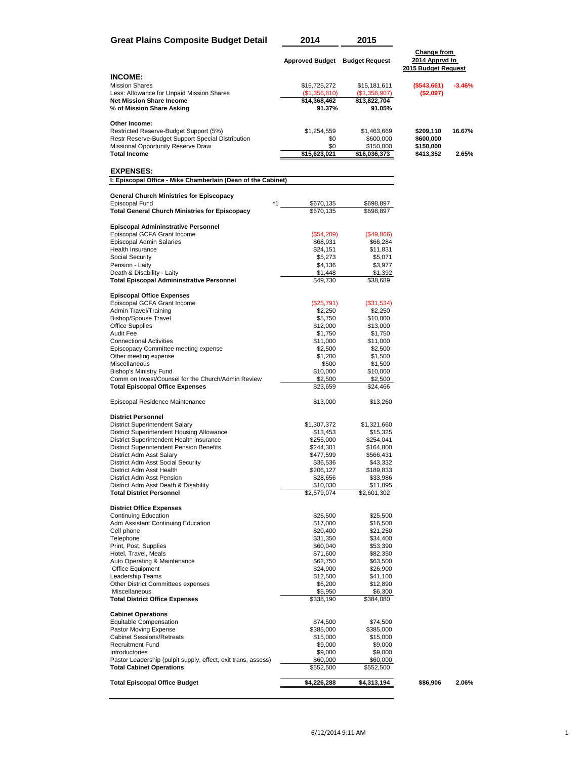| <b>Great Plains Composite Budget Detail</b>                                                 | 2014                                  | 2015                   |                                                             |          |
|---------------------------------------------------------------------------------------------|---------------------------------------|------------------------|-------------------------------------------------------------|----------|
|                                                                                             | <b>Approved Budget</b> Budget Request |                        | <b>Change from</b><br>2014 Apprvd to<br>2015 Budget Request |          |
| <b>INCOME:</b>                                                                              |                                       |                        |                                                             |          |
| <b>Mission Shares</b>                                                                       | \$15,725,272                          | \$15,181,611           | (\$543,661)                                                 | $-3.46%$ |
| Less: Allowance for Unpaid Mission Shares                                                   | (\$1,356,810)                         | (\$1,358,907)          | (\$2,097)                                                   |          |
| <b>Net Mission Share Income</b><br>% of Mission Share Asking                                | \$14,368,462<br>91.37%                | \$13,822,704<br>91.05% |                                                             |          |
|                                                                                             |                                       |                        |                                                             |          |
| Other Income:                                                                               |                                       |                        |                                                             |          |
| Restricted Reserve-Budget Support (5%)                                                      | \$1,254,559                           | \$1,463,669            | \$209,110<br>\$600,000                                      | 16.67%   |
| Restr Reserve-Budget Support Special Distribution<br>Missional Opportunity Reserve Draw     | \$0<br>\$0                            | \$600,000<br>\$150,000 | \$150,000                                                   |          |
| <b>Total Income</b>                                                                         | \$15,623,021                          | \$16,036,373           | \$413,352                                                   | 2.65%    |
|                                                                                             |                                       |                        |                                                             |          |
| <b>EXPENSES:</b>                                                                            |                                       |                        |                                                             |          |
| I: Episcopal Office - Mike Chamberlain (Dean of the Cabinet)                                |                                       |                        |                                                             |          |
| <b>General Church Ministries for Episcopacy</b>                                             |                                       |                        |                                                             |          |
| Episcopal Fund<br>*1                                                                        | \$670,135                             | \$698,897              |                                                             |          |
| <b>Total General Church Ministries for Episcopacy</b>                                       | \$670,135                             | \$698,897              |                                                             |          |
| <b>Episcopal Admininstrative Personnel</b>                                                  |                                       |                        |                                                             |          |
| Episcopal GCFA Grant Income                                                                 | $(\$54,209)$                          | (\$49,866)             |                                                             |          |
| Episcopal Admin Salaries                                                                    | \$68,931                              | \$66,284               |                                                             |          |
| <b>Health Insurance</b><br>Social Security                                                  | \$24,151<br>\$5,273                   | \$11,831<br>\$5,071    |                                                             |          |
| Pension - Laity                                                                             | \$4,136                               | \$3,977                |                                                             |          |
| Death & Disability - Laity                                                                  | \$1,448                               | \$1,392                |                                                             |          |
| <b>Total Episcopal Admininstrative Personnel</b>                                            | \$49,730                              | \$38,689               |                                                             |          |
| <b>Episcopal Office Expenses</b>                                                            |                                       |                        |                                                             |          |
| Episcopal GCFA Grant Income                                                                 | (\$25,791)                            | $($ \$31,534 $)$       |                                                             |          |
| Admin Travel/Training                                                                       | \$2,250                               | \$2,250                |                                                             |          |
| <b>Bishop/Spouse Travel</b><br><b>Office Supplies</b>                                       | \$5,750<br>\$12,000                   | \$10,000<br>\$13,000   |                                                             |          |
| Audit Fee                                                                                   | \$1,750                               | \$1,750                |                                                             |          |
| <b>Connectional Activities</b>                                                              | \$11,000                              | \$11,000               |                                                             |          |
| Episcopacy Committee meeting expense                                                        | \$2,500                               | \$2,500                |                                                             |          |
| Other meeting expense<br>Miscellaneous                                                      | \$1,200<br>\$500                      | \$1,500<br>\$1,500     |                                                             |          |
| Bishop's Ministry Fund                                                                      | \$10,000                              | \$10,000               |                                                             |          |
| Comm on Invest/Counsel for the Church/Admin Review                                          | \$2,500                               | \$2,500                |                                                             |          |
| <b>Total Episcopal Office Expenses</b>                                                      | \$23,659                              | \$24,466               |                                                             |          |
| Episcopal Residence Maintenance                                                             | \$13,000                              | \$13,260               |                                                             |          |
| <b>District Personnel</b>                                                                   |                                       |                        |                                                             |          |
| <b>District Superintendent Salary</b>                                                       | \$1,307,372                           | \$1,321,660            |                                                             |          |
| District Superintendent Housing Allowance                                                   | \$13,453                              | \$15,325               |                                                             |          |
| District Superintendent Health insurance<br><b>District Superintendent Pension Benefits</b> | \$255,000<br>\$244,301                | \$254,041<br>\$164,800 |                                                             |          |
| District Adm Asst Salary                                                                    | \$477,599                             | \$566,431              |                                                             |          |
| District Adm Asst Social Security                                                           | \$36,536                              | \$43,332               |                                                             |          |
| District Adm Asst Health                                                                    | \$206,127                             | \$189,833              |                                                             |          |
| District Adm Asst Pension<br>District Adm Asst Death & Disability                           | \$28,656<br>\$10,030                  | \$33,986<br>\$11,895   |                                                             |          |
| <b>Total District Personnel</b>                                                             | \$2,579,074                           | \$2,601,302            |                                                             |          |
|                                                                                             |                                       |                        |                                                             |          |
| <b>District Office Expenses</b><br><b>Continuing Education</b>                              |                                       |                        |                                                             |          |
| Adm Assistant Continuing Education                                                          | \$25,500<br>\$17,000                  | \$25,500<br>\$16,500   |                                                             |          |
| Cell phone                                                                                  | \$20,400                              | \$21,250               |                                                             |          |
| Telephone                                                                                   | \$31,350                              | \$34,400               |                                                             |          |
| Print, Post, Supplies<br>Hotel, Travel, Meals                                               | \$60,040<br>\$71,600                  | \$53,390<br>\$82,350   |                                                             |          |
| Auto Operating & Maintenance                                                                | \$62,750                              | \$63,500               |                                                             |          |
| Office Equipment                                                                            | \$24,900                              | \$26,900               |                                                             |          |
| Leadership Teams                                                                            | \$12,500                              | \$41,100               |                                                             |          |
| Other District Committees expenses<br>Miscellaneous                                         | \$6,200<br>\$5,950                    | \$12,890<br>\$6,300    |                                                             |          |
| <b>Total District Office Expenses</b>                                                       | \$338,190                             | \$384,080              |                                                             |          |
| <b>Cabinet Operations</b>                                                                   |                                       |                        |                                                             |          |
| Equitable Compensation                                                                      | \$74,500                              | \$74,500               |                                                             |          |
| Pastor Moving Expense                                                                       | \$385,000                             | \$385,000              |                                                             |          |
| <b>Cabinet Sessions/Retreats</b>                                                            | \$15,000                              | \$15,000               |                                                             |          |
| <b>Recruitment Fund</b><br>Introductories                                                   | \$9,000<br>\$9,000                    | \$9,000<br>\$9,000     |                                                             |          |
| Pastor Leadership (pulpit supply, effect, exit trans, assess)                               | \$60,000                              | \$60,000               |                                                             |          |
| <b>Total Cabinet Operations</b>                                                             | \$552,500                             | \$552,500              |                                                             |          |
| <b>Total Episcopal Office Budget</b>                                                        | \$4,226,288                           | \$4,313,194            | \$86,906                                                    | 2.06%    |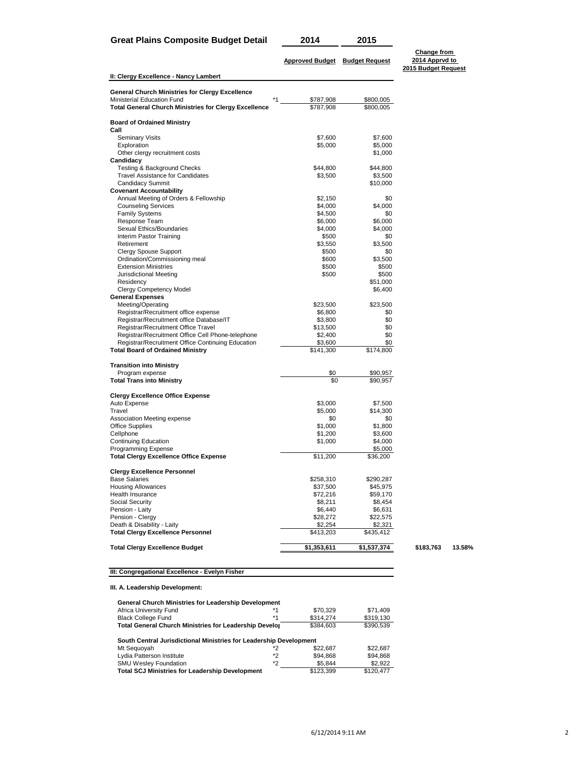| Great Plains Composite Budget Detail |  |  |  |  | 20 |
|--------------------------------------|--|--|--|--|----|
|--------------------------------------|--|--|--|--|----|

| 2014 | 2015 |
|------|------|
|      |      |

|                                                                      | <b>Approved Budget</b> | <b>Budget Request</b> | 2014 Apprvd to<br>2015 Budget Request |      |
|----------------------------------------------------------------------|------------------------|-----------------------|---------------------------------------|------|
| II: Clergy Excellence - Nancy Lambert                                |                        |                       |                                       |      |
| General Church Ministries for Clergy Excellence                      |                        |                       |                                       |      |
| Ministerial Education Fund                                           | \$787,908              | \$800,005             |                                       |      |
| <b>Total General Church Ministries for Clergy Excellence</b>         | \$787,908              | \$800,005             |                                       |      |
| <b>Board of Ordained Ministry</b>                                    |                        |                       |                                       |      |
| Call                                                                 |                        |                       |                                       |      |
| <b>Seminary Visits</b>                                               | \$7,600                | \$7,600               |                                       |      |
| Exploration                                                          | \$5,000                | \$5,000               |                                       |      |
| Other clergy recruitment costs<br>Candidacy                          |                        | \$1,000               |                                       |      |
| Testing & Background Checks                                          | \$44,800               | \$44,800              |                                       |      |
| <b>Travel Assistance for Candidates</b>                              | \$3,500                | \$3,500               |                                       |      |
| <b>Candidacy Summit</b>                                              |                        | \$10,000              |                                       |      |
| <b>Covenant Accountability</b>                                       |                        |                       |                                       |      |
| Annual Meeting of Orders & Fellowship                                | \$2,150                | \$0                   |                                       |      |
| <b>Counseling Services</b>                                           | \$4,000                | \$4,000               |                                       |      |
| <b>Family Systems</b>                                                | \$4,500                | \$0                   |                                       |      |
| Response Team                                                        | \$6,000                | \$6,000               |                                       |      |
| Sexual Ethics/Boundaries                                             | \$4,000                | \$4,000               |                                       |      |
| Interim Pastor Training                                              | \$500                  | \$0                   |                                       |      |
| Retirement                                                           | \$3,550                | \$3,500               |                                       |      |
| <b>Clergy Spouse Support</b>                                         | \$500                  | \$0                   |                                       |      |
| Ordination/Commissioning meal                                        | \$600                  | \$3,500               |                                       |      |
| <b>Extension Ministries</b>                                          | \$500                  | \$500                 |                                       |      |
| Jurisdictional Meeting                                               | \$500                  | \$500                 |                                       |      |
| Residency                                                            |                        | \$51,000              |                                       |      |
| Clergy Competency Model<br><b>General Expenses</b>                   |                        | \$6,400               |                                       |      |
| Meeting/Operating                                                    | \$23,500               | \$23,500              |                                       |      |
| Registrar/Recruitment office expense                                 | \$6,800                | \$0                   |                                       |      |
| Registrar/Recruitment office Database/IT                             | \$3,800                | \$0                   |                                       |      |
| Registrar/Recruitment Office Travel                                  | \$13,500               | \$0                   |                                       |      |
| Registrar/Recruitment Office Cell Phone-telephone                    | \$2,400                | \$0                   |                                       |      |
| Registrar/Recruitment Office Continuing Education                    | \$3,600                | \$0                   |                                       |      |
| <b>Total Board of Ordained Ministry</b>                              | \$141,300              | \$174,800             |                                       |      |
| <b>Transition into Ministry</b>                                      |                        |                       |                                       |      |
| Program expense                                                      | \$0                    | \$90,957              |                                       |      |
| <b>Total Trans into Ministry</b>                                     | \$0                    | \$90,957              |                                       |      |
| <b>Clergy Excellence Office Expense</b>                              |                        |                       |                                       |      |
| Auto Expense                                                         | \$3,000                | \$7,500               |                                       |      |
| Travel                                                               | \$5,000                | \$14,300              |                                       |      |
| Association Meeting expense                                          | \$0                    | \$0                   |                                       |      |
| <b>Office Supplies</b>                                               | \$1,000                | \$1,800               |                                       |      |
| Cellphone                                                            | \$1,200                | \$3,600               |                                       |      |
| <b>Continuing Education</b>                                          | \$1,000                | \$4,000               |                                       |      |
| Programming Expense<br><b>Total Clergy Excellence Office Expense</b> | \$11,200               | \$5,000<br>\$36,200   |                                       |      |
|                                                                      |                        |                       |                                       |      |
| <b>Clergy Excellence Personnel</b>                                   |                        |                       |                                       |      |
| <b>Base Salaries</b>                                                 | \$258,310              | \$290,287             |                                       |      |
| Housing Allowances                                                   | \$37,500               | \$45,975              |                                       |      |
| Health Insurance<br>Social Security                                  | \$72,216<br>\$8,211    | \$59,170<br>\$8,454   |                                       |      |
| Pension - Laity                                                      | \$6,440                | \$6,631               |                                       |      |
| Pension - Clergy                                                     | \$28,272               | \$22,575              |                                       |      |
| Death & Disability - Laity                                           | \$2,254                | \$2,321               |                                       |      |
| <b>Total Clergy Excellence Personnel</b>                             | \$413,203              | \$435,412             |                                       |      |
| <b>Total Clergy Excellence Budget</b>                                | \$1,353,611            | \$1,537,374           | \$183,763                             | 13.5 |
|                                                                      |                        |                       |                                       |      |

## **III: Congregational Excellence - Evelyn Fisher**

## **III. A. Leadership Development:**

| <b>General Church Ministries for Leadership Development</b>        |    |           |           |
|--------------------------------------------------------------------|----|-----------|-----------|
| Africa University Fund                                             | *1 | \$70.329  | \$71,409  |
| <b>Black College Fund</b>                                          | *1 | \$314.274 | \$319,130 |
| <b>Total General Church Ministries for Leadership Develor</b>      |    | \$384,603 | \$390.539 |
| South Central Jurisdictional Ministries for Leadership Development |    |           |           |
| Mt Sequoyah                                                        | *2 | \$22,687  | \$22,687  |
| Lydia Patterson Institute                                          | *2 | \$94,868  | \$94.868  |
| <b>SMU Wesley Foundation</b>                                       | *2 | \$5.844   | \$2,922   |
| <b>Total SCJ Ministries for Leadership Development</b>             |    | \$123,399 | \$120.477 |

 $\overline{\phantom{a}}$ 

**Change from 2014 Apprvd to** 

**Total Clergy Excellence Budget \$1,353,611 \$1,537,374 \$183,763 13.58%**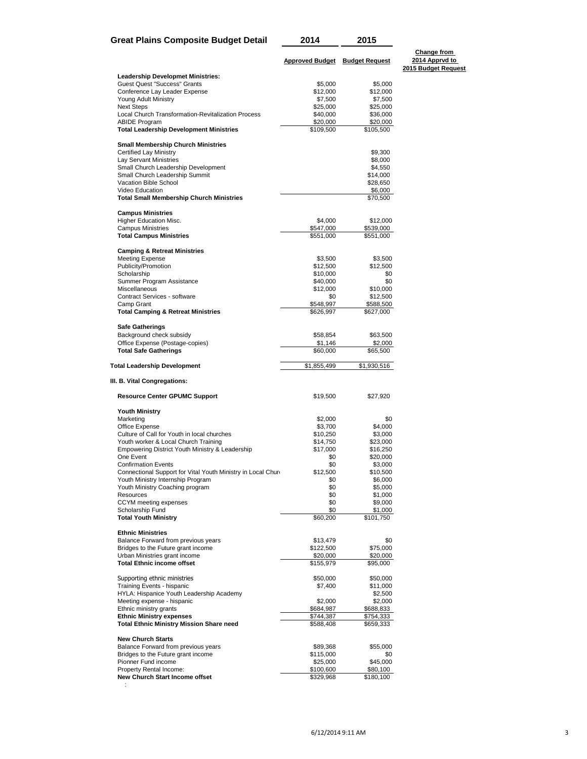| Great Plains Composite Budget Detail | 2014                           | 2015 |  |
|--------------------------------------|--------------------------------|------|--|
|                                      | Approved Budget Budget Request |      |  |

**Change from 2014 Apprvd to 2015 Budget Request**

| <b>Leadership Developmet Ministries:</b>                                           |                        |                        |
|------------------------------------------------------------------------------------|------------------------|------------------------|
| <b>Guest Quest "Success" Grants</b>                                                | \$5,000                | \$5,000                |
| Conference Lay Leader Expense                                                      | \$12,000               | \$12,000               |
| Young Adult Ministry                                                               | \$7,500                | \$7,500                |
| <b>Next Steps</b>                                                                  | \$25,000               | \$25,000               |
| Local Church Transformation-Revitalization Process                                 | \$40,000               | \$36,000               |
| <b>ABIDE Program</b><br><b>Total Leadership Development Ministries</b>             | \$20,000<br>\$109,500  | \$20,000<br>\$105,500  |
|                                                                                    |                        |                        |
| <b>Small Membership Church Ministries</b><br><b>Certified Lay Ministry</b>         |                        | \$9,300                |
| Lay Servant Ministries                                                             |                        | \$8,000                |
| Small Church Leadership Development                                                |                        | \$4,550                |
| Small Church Leadership Summit                                                     |                        | \$14,000               |
| Vacation Bible School                                                              |                        | \$28,650               |
| Video Education<br><b>Total Small Membership Church Ministries</b>                 |                        | \$6,000<br>\$70,500    |
|                                                                                    |                        |                        |
| <b>Campus Ministries</b><br>Higher Education Misc.                                 | \$4,000                | \$12,000               |
| <b>Campus Ministries</b>                                                           | \$547,000              | \$539,000              |
| <b>Total Campus Ministries</b>                                                     | \$551,000              | \$551,000              |
| <b>Camping &amp; Retreat Ministries</b>                                            |                        |                        |
| <b>Meeting Expense</b>                                                             | \$3,500                | \$3,500                |
| Publicity/Promotion                                                                | \$12,500               | \$12,500               |
| Scholarship                                                                        | \$10,000               | \$0                    |
| Summer Program Assistance                                                          | \$40,000               | \$0                    |
| Miscellaneous                                                                      | \$12,000               | \$10,000               |
| Contract Services - software<br>Camp Grant                                         | \$0<br>\$548,997       | \$12,500<br>\$588,500  |
| <b>Total Camping &amp; Retreat Ministries</b>                                      | \$626,997              | \$627,000              |
|                                                                                    |                        |                        |
| <b>Safe Gatherings</b><br>Background check subsidy                                 | \$58,854               | \$63,500               |
| Office Expense (Postage-copies)                                                    | \$1,146                | \$2,000                |
| <b>Total Safe Gatherings</b>                                                       | \$60,000               |                        |
|                                                                                    |                        | \$65,500               |
|                                                                                    |                        |                        |
| Total Leadership Development                                                       | \$1,855,499            | \$1,930,516            |
| III. B. Vital Congregations:                                                       |                        |                        |
| <b>Resource Center GPUMC Support</b>                                               | \$19,500               | \$27,920               |
| <b>Youth Ministry</b>                                                              |                        |                        |
| Marketing                                                                          | \$2,000                | \$0                    |
| Office Expense                                                                     | \$3,700                | \$4,000                |
| Culture of Call for Youth in local churches                                        | \$10,250               | \$3,000                |
| Youth worker & Local Church Training                                               | \$14,750               | \$23,000<br>\$16,250   |
| Empowering District Youth Ministry & Leadership<br>One Event                       | \$17,000<br>\$0        | \$20,000               |
| <b>Confirmation Events</b>                                                         | \$0                    | \$3,000                |
| Connectional Support for Vital Youth Ministry in Local Churd                       | \$12,500               | \$10,500               |
| Youth Ministry Internship Program                                                  | \$0                    | \$6,000                |
| Youth Ministry Coaching program                                                    | \$0                    | \$5,000                |
| Resources                                                                          | \$0                    | \$1,000                |
| CCYM meeting expenses                                                              | \$0<br>\$0             | \$9,000                |
| Scholarship Fund<br><b>Total Youth Ministry</b>                                    | \$60,200               | \$1,000<br>\$101,750   |
| <b>Ethnic Ministries</b>                                                           |                        |                        |
|                                                                                    | \$13,479               | \$0                    |
| Balance Forward from previous years<br>Bridges to the Future grant income          | \$122,500              | \$75,000               |
| Urban Ministries grant income                                                      | \$20,000               | \$20,000               |
| <b>Total Ethnic income offset</b>                                                  | \$155,979              | \$95,000               |
| Supporting ethnic ministries                                                       | \$50,000               | \$50,000               |
| Training Events - hispanic                                                         | \$7,400                | \$11,000               |
| HYLA: Hispanice Youth Leadership Academy                                           |                        | \$2,500                |
| Meeting expense - hispanic                                                         | \$2,000                | \$2,000                |
| Ethnic ministry grants                                                             | \$684,987              | \$688,833              |
| <b>Ethnic Ministry expenses</b><br><b>Total Ethnic Ministry Mission Share need</b> | \$744,387<br>\$588,408 | \$754,333<br>\$659,333 |
|                                                                                    |                        |                        |
| <b>New Church Starts</b>                                                           |                        | \$55,000               |
| Balance Forward from previous years<br>Bridges to the Future grant income          | \$89,368<br>\$115,000  | \$0                    |
| Pionner Fund income                                                                | \$25,000               | \$45,000               |
| Property Rental Income:<br>New Church Start Income offset                          | \$100,600<br>\$329,968 | \$80,100<br>\$180,100  |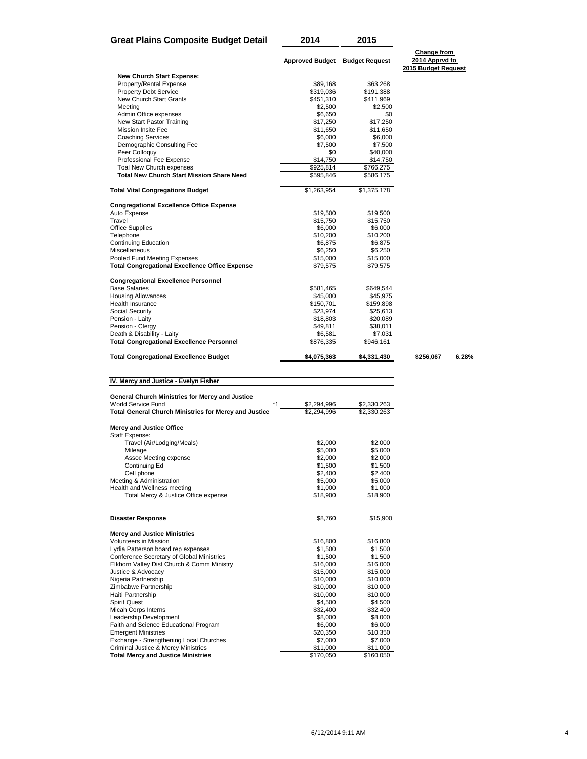| <b>Great Plains Composite Budget Detail</b> | 2014                           | 2015 |  |
|---------------------------------------------|--------------------------------|------|--|
|                                             | Approved Budget Budget Request |      |  |

**Change from 2014 Apprvd to 2015 Budget Request**

| <b>Total Congregational Excellence Budget</b>                                  | \$4,075,363             | \$4,331,430     |
|--------------------------------------------------------------------------------|-------------------------|-----------------|
|                                                                                |                         | \$946,161       |
| Death & Disability - Laity<br><b>Total Congregational Excellence Personnel</b> | \$6,581<br>\$876,335    | \$7,031         |
| Pension - Clergy                                                               | \$49,811                | \$38,011        |
| Pension - Laity                                                                | \$18,803                | \$20,089        |
| Social Security                                                                | \$23,974                | \$25,613        |
| <b>Health Insurance</b>                                                        | \$150,701               | \$159,898       |
| <b>Housing Allowances</b>                                                      | \$45.000                | \$45.975        |
| <b>Base Salaries</b>                                                           | \$581,465               | \$649,544       |
| <b>Congregational Excellence Personnel</b>                                     |                         |                 |
| <b>Total Congregational Excellence Office Expense</b>                          | \$79,575                | \$79,575        |
| Pooled Fund Meeting Expenses                                                   | \$15,000                | \$15,000        |
| Miscellaneous                                                                  | \$6,250                 | \$6,250         |
| <b>Continuing Education</b>                                                    | \$6,875                 | \$6,875         |
| Telephone                                                                      | \$10,200                | \$10,200        |
| <b>Office Supplies</b>                                                         | \$6,000                 | \$6,000         |
| Travel                                                                         | \$15,750                | \$15,750        |
| <b>Congregational Excellence Office Expense</b><br>Auto Expense                | \$19,500                | \$19,500        |
| <b>Total Vital Congregations Budget</b>                                        | $\overline{31,263,954}$ | \$1,375,178     |
|                                                                                |                         |                 |
| <b>Total New Church Start Mission Share Need</b>                               | \$595,846               | \$586,175       |
| Toal New Church expenses                                                       | \$925,814               | \$766,275       |
| Professional Fee Expense                                                       | \$14,750                | \$14,750        |
| Peer Colloquy                                                                  | \$0                     | \$40,000        |
| Demographic Consulting Fee                                                     | \$7,500                 | \$7,500         |
| <b>Coaching Services</b>                                                       | \$6,000                 | \$6,000         |
| Mission Insite Fee                                                             | \$17,250<br>\$11,650    | \$11,650        |
| Admin Office expenses<br>New Start Pastor Training                             | \$6,650                 | \$0<br>\$17.250 |
| Meeting                                                                        | \$2,500                 | \$2,500         |
| New Church Start Grants                                                        | \$451,310               | \$411,969       |
| <b>Property Debt Service</b>                                                   | \$319,036               | \$191,388       |
| Property/Rental Expense                                                        | \$89,168                | \$63,268        |
| <b>New Church Start Expense:</b>                                               |                         |                 |
|                                                                                |                         |                 |

**Total Congregational Excellence Budget \$4,075,363 \$4,331,430 \$256,067 6.28%**

## **IV. Mercy and Justice - Evelyn Fisher**

| General Church Ministries for Mercy and Justice       |             |             |
|-------------------------------------------------------|-------------|-------------|
| World Service Fund<br>$*_{1}$                         | \$2,294,996 | \$2,330,263 |
| Total General Church Ministries for Mercy and Justice | \$2.294.996 | \$2,330,263 |
| <b>Mercy and Justice Office</b>                       |             |             |
| Staff Expense:                                        |             |             |
| Travel (Air/Lodging/Meals)                            | \$2,000     | \$2,000     |
| Mileage                                               | \$5,000     | \$5,000     |
| Assoc Meeting expense                                 | \$2,000     | \$2,000     |
| Continuing Ed                                         | \$1,500     | \$1,500     |
| Cell phone                                            | \$2,400     | \$2,400     |
| Meeting & Administration                              | \$5,000     | \$5,000     |
| Health and Wellness meeting                           | \$1,000     | \$1,000     |
| Total Mercy & Justice Office expense                  | \$18,900    | \$18,900    |
| <b>Disaster Response</b>                              | \$8,760     | \$15,900    |
| <b>Mercy and Justice Ministries</b>                   |             |             |
| Volunteers in Mission                                 | \$16,800    | \$16,800    |
| Lydia Patterson board rep expenses                    | \$1,500     | \$1,500     |
| Conference Secretary of Global Ministries             | \$1,500     | \$1,500     |
| Elkhorn Valley Dist Church & Comm Ministry            | \$16,000    | \$16,000    |
| Justice & Advocacv                                    | \$15,000    | \$15,000    |
| Nigeria Partnership                                   | \$10,000    | \$10,000    |
| Zimbabwe Partnership                                  | \$10,000    | \$10,000    |
| Haiti Partnership                                     | \$10,000    | \$10,000    |
| <b>Spirit Quest</b>                                   | \$4,500     | \$4,500     |
| <b>Micah Corps Interns</b>                            | \$32,400    | \$32,400    |
| Leadership Development                                | \$8,000     | \$8,000     |
| Faith and Science Educational Program                 | \$6,000     | \$6,000     |
| <b>Emergent Ministries</b>                            | \$20,350    | \$10,350    |
| Exchange - Strengthening Local Churches               | \$7,000     | \$7,000     |
| <b>Criminal Justice &amp; Mercy Ministries</b>        | \$11,000    | \$11,000    |
| <b>Total Mercy and Justice Ministries</b>             | \$170,050   | \$160,050   |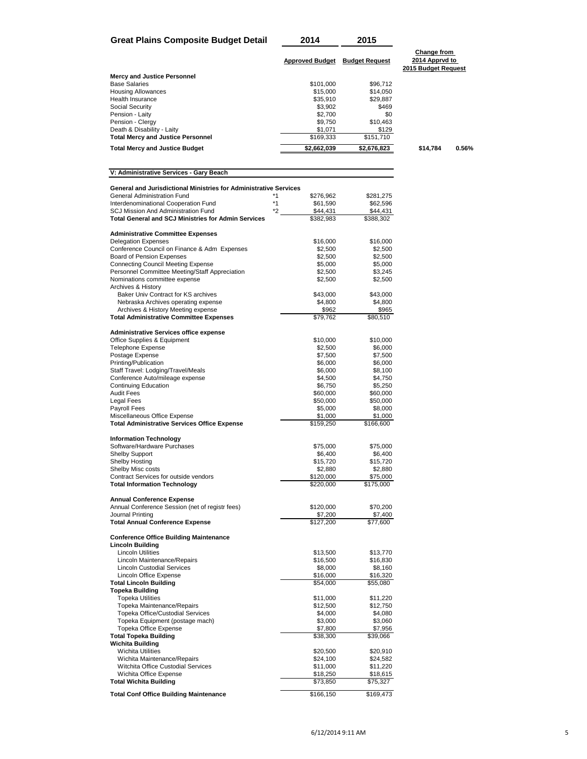| <b>Great Plains Composite Budget Detail</b>                                                                   | 2014                   | 2015                  |                                                      |       |
|---------------------------------------------------------------------------------------------------------------|------------------------|-----------------------|------------------------------------------------------|-------|
|                                                                                                               | <b>Approved Budget</b> | <b>Budget Request</b> | Change from<br>2014 Apprvd to<br>2015 Budget Request |       |
| <b>Mercy and Justice Personnel</b>                                                                            |                        |                       |                                                      |       |
| <b>Base Salaries</b>                                                                                          | \$101,000              | \$96,712              |                                                      |       |
| <b>Housing Allowances</b>                                                                                     | \$15,000               | \$14,050              |                                                      |       |
| Health Insurance                                                                                              | \$35,910               | \$29,887              |                                                      |       |
| Social Security                                                                                               | \$3,902                | \$469                 |                                                      |       |
| Pension - Laity<br>Pension - Clergy                                                                           | \$2,700<br>\$9,750     | \$0<br>\$10,463       |                                                      |       |
| Death & Disability - Laity                                                                                    | \$1,071                | \$129                 |                                                      |       |
| <b>Total Mercy and Justice Personnel</b>                                                                      | $\overline{$}169,333$  | \$151,710             |                                                      |       |
| <b>Total Mercy and Justice Budget</b>                                                                         | \$2,662,039            | \$2,676,823           | \$14,784                                             | 0.56% |
|                                                                                                               |                        |                       |                                                      |       |
| V: Administrative Services - Gary Beach                                                                       |                        |                       |                                                      |       |
| <b>General and Jurisdictional Ministries for Administrative Services</b><br>General Administration Fund<br>*1 | \$276,962              | \$281,275             |                                                      |       |
| $*1$<br>Interdenominational Cooperation Fund                                                                  | \$61,590               | \$62,596              |                                                      |       |
| SCJ Mission And Administration Fund<br>*2                                                                     | \$44,431               | \$44,431              |                                                      |       |
| <b>Total General and SCJ Ministries for Admin Services</b>                                                    | \$382,983              | \$388,302             |                                                      |       |
| <b>Administrative Committee Expenses</b>                                                                      |                        |                       |                                                      |       |
| <b>Delegation Expenses</b>                                                                                    | \$16,000               | \$16,000              |                                                      |       |
| Conference Council on Finance & Adm Expenses                                                                  | \$2,500                | \$2,500               |                                                      |       |
| <b>Board of Pension Expenses</b>                                                                              | \$2,500                | \$2,500               |                                                      |       |
| <b>Connecting Council Meeting Expense</b>                                                                     | \$5,000                | \$5,000               |                                                      |       |
| Personnel Committee Meeting/Staff Appreciation<br>Nominations committee expense                               | \$2,500<br>\$2,500     | \$3,245<br>\$2,500    |                                                      |       |
| Archives & History                                                                                            |                        |                       |                                                      |       |
| Baker Univ Contract for KS archives                                                                           | \$43,000               | \$43,000              |                                                      |       |
| Nebraska Archives operating expense                                                                           | \$4,800                | \$4,800               |                                                      |       |
| Archives & History Meeting expense                                                                            | \$962                  | \$965                 |                                                      |       |
| <b>Total Administrative Committee Expenses</b>                                                                | \$79,762               | \$80,510              |                                                      |       |
| <b>Administrative Services office expense</b>                                                                 |                        |                       |                                                      |       |
| Office Supplies & Equipment                                                                                   | \$10,000               | \$10,000              |                                                      |       |
| <b>Telephone Expense</b>                                                                                      | \$2,500                | \$6,000               |                                                      |       |
| Postage Expense<br>Printing/Publication                                                                       | \$7,500<br>\$6,000     | \$7,500<br>\$6,000    |                                                      |       |
| Staff Travel: Lodging/Travel/Meals                                                                            | \$6,000                | \$8,100               |                                                      |       |
| Conference Auto/mileage expense                                                                               | \$4,500                | \$4,750               |                                                      |       |
| <b>Continuing Education</b>                                                                                   | \$6,750                | \$5,250               |                                                      |       |
| <b>Audit Fees</b>                                                                                             | \$60,000               | \$60,000              |                                                      |       |
| Legal Fees                                                                                                    | \$50,000               | \$50,000              |                                                      |       |
| Payroll Fees                                                                                                  | \$5,000                | \$8,000               |                                                      |       |
| Miscellaneous Office Expense<br><b>Total Administrative Services Office Expense</b>                           | \$1,000<br>\$159,250   | \$1,000<br>\$166,600  |                                                      |       |
| <b>Information Technology</b>                                                                                 |                        |                       |                                                      |       |
| Software/Hardware Purchases                                                                                   | \$75,000               | \$75,000              |                                                      |       |
| <b>Shelby Support</b>                                                                                         | \$6,400                | \$6,400               |                                                      |       |
| <b>Shelby Hosting</b>                                                                                         | \$15,720               | \$15,720              |                                                      |       |
| Shelby Misc costs<br>Contract Services for outside vendors                                                    | \$2,880                | \$2,880               |                                                      |       |
| <b>Total Information Technology</b>                                                                           | \$120,000<br>\$220,000 | \$75,000<br>\$175,000 |                                                      |       |
| <b>Annual Conference Expense</b>                                                                              |                        |                       |                                                      |       |
| Annual Conference Session (net of registr fees)<br>Journal Printing                                           | \$120,000<br>\$7,200   | \$70,200<br>\$7,400   |                                                      |       |
| <b>Total Annual Conference Expense</b>                                                                        | \$127,200              | \$77,600              |                                                      |       |
| <b>Conference Office Building Maintenance</b><br><b>Lincoln Building</b>                                      |                        |                       |                                                      |       |
| <b>Lincoln Utilities</b>                                                                                      | \$13,500               | \$13,770              |                                                      |       |
| Lincoln Maintenance/Repairs                                                                                   | \$16,500               | \$16,830              |                                                      |       |
| <b>Lincoln Custodial Services</b>                                                                             | \$8,000                | \$8,160               |                                                      |       |
| Lincoln Office Expense                                                                                        | \$16,000               | \$16,320              |                                                      |       |
| <b>Total Lincoln Building</b>                                                                                 | \$54,000               | \$55,080              |                                                      |       |
| <b>Topeka Building</b><br><b>Topeka Utilities</b>                                                             | \$11,000               | \$11,220              |                                                      |       |
| Topeka Maintenance/Repairs                                                                                    | \$12,500               | \$12,750              |                                                      |       |
| Topeka Office/Custodial Services                                                                              | \$4,000                | \$4,080               |                                                      |       |
| Topeka Equipment (postage mach)                                                                               | \$3,000                | \$3,060               |                                                      |       |
| Topeka Office Expense                                                                                         | \$7,800                | \$7,956               |                                                      |       |
| <b>Total Topeka Building</b>                                                                                  | \$38,300               | \$39,066              |                                                      |       |
| <b>Wichita Building</b>                                                                                       |                        |                       |                                                      |       |
| <b>Wichita Utilities</b>                                                                                      | \$20,500               | \$20,910              |                                                      |       |
| Wichita Maintenance/Repairs<br>Witchita Office Custodial Services                                             | \$24,100<br>\$11,000   | \$24,582<br>\$11,220  |                                                      |       |
| Wichita Office Expense                                                                                        | \$18,250               | \$18,615              |                                                      |       |
| <b>Total Wichita Building</b>                                                                                 | \$73,850               | \$75,327              |                                                      |       |
|                                                                                                               |                        |                       |                                                      |       |
| <b>Total Conf Office Building Maintenance</b>                                                                 | \$166,150              | \$169,473             |                                                      |       |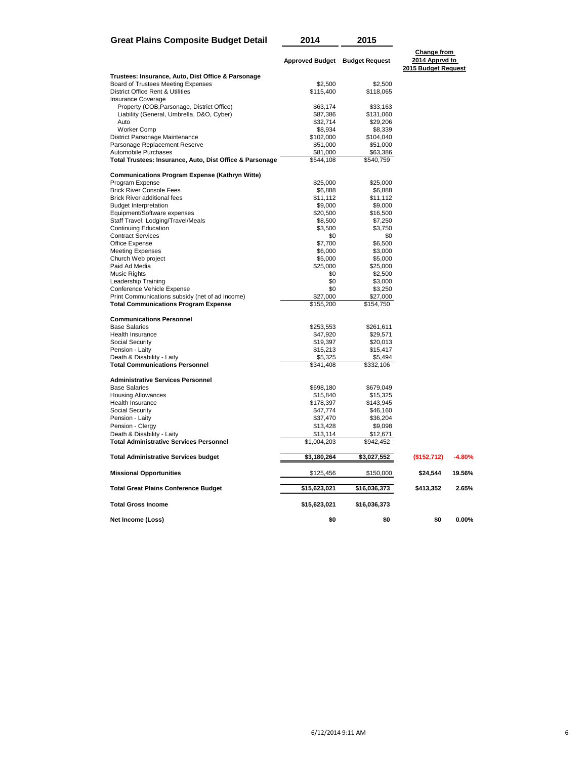| <b>Great Plains Composite Budget Detail</b>                       | 2014                           | 2015                  |                                                             |          |
|-------------------------------------------------------------------|--------------------------------|-----------------------|-------------------------------------------------------------|----------|
|                                                                   | Approved Budget Budget Request |                       | <b>Change from</b><br>2014 Apprvd to<br>2015 Budget Request |          |
| Trustees: Insurance, Auto, Dist Office & Parsonage                |                                |                       |                                                             |          |
| Board of Trustees Meeting Expenses                                | \$2,500                        | \$2,500               |                                                             |          |
| District Office Rent & Utilities                                  | \$115,400                      | \$118,065             |                                                             |          |
| Insurance Coverage                                                |                                |                       |                                                             |          |
| Property (COB, Parsonage, District Office)                        | \$63,174                       | \$33,163<br>\$131,060 |                                                             |          |
| Liability (General, Umbrella, D&O, Cyber)<br>Auto                 | \$87,386<br>\$32,714           | \$29,206              |                                                             |          |
| <b>Worker Comp</b>                                                | \$8,934                        | \$8,339               |                                                             |          |
| District Parsonage Maintenance                                    | \$102,000                      | \$104,040             |                                                             |          |
| Parsonage Replacement Reserve                                     | \$51,000                       | \$51,000              |                                                             |          |
| Automobile Purchases                                              | \$81,000                       | \$63,386              |                                                             |          |
| Total Trustees: Insurance, Auto, Dist Office & Parsonage          | \$544,108                      | \$540,759             |                                                             |          |
| <b>Communications Program Expense (Kathryn Witte)</b>             |                                |                       |                                                             |          |
| Program Expense                                                   | \$25,000                       | \$25,000              |                                                             |          |
| <b>Brick River Console Fees</b>                                   | \$6,888                        | \$6,888               |                                                             |          |
| <b>Brick River additional fees</b>                                | \$11,112                       | \$11,112              |                                                             |          |
| <b>Budget Interpretation</b>                                      | \$9,000                        | \$9,000<br>\$16,500   |                                                             |          |
| Equipment/Software expenses                                       | \$20,500                       | \$7,250               |                                                             |          |
| Staff Travel: Lodging/Travel/Meals<br><b>Continuing Education</b> | \$8,500<br>\$3,500             | \$3,750               |                                                             |          |
| <b>Contract Services</b>                                          | \$0                            | \$0                   |                                                             |          |
| Office Expense                                                    | \$7,700                        | \$6,500               |                                                             |          |
| <b>Meeting Expenses</b>                                           | \$6,000                        | \$3,000               |                                                             |          |
| Church Web project                                                | \$5,000                        | \$5,000               |                                                             |          |
| Paid Ad Media                                                     | \$25,000                       | \$25,000              |                                                             |          |
| Music Rights                                                      | \$0                            | \$2,500               |                                                             |          |
| Leadership Training                                               | \$0                            | \$3,000               |                                                             |          |
| Conference Vehicle Expense                                        | \$0                            | \$3,250               |                                                             |          |
| Print Communications subsidy (net of ad income)                   | \$27,000                       | \$27,000              |                                                             |          |
| <b>Total Communications Program Expense</b>                       | \$155,200                      | \$154,750             |                                                             |          |
| <b>Communications Personnel</b>                                   |                                |                       |                                                             |          |
| <b>Base Salaries</b>                                              | \$253,553                      | \$261,611             |                                                             |          |
| Health Insurance                                                  | \$47,920                       | \$29,571              |                                                             |          |
| Social Security                                                   | \$19,397                       | \$20,013              |                                                             |          |
| Pension - Laity                                                   | \$15,213                       | \$15,417              |                                                             |          |
| Death & Disability - Laity                                        | \$5,325                        | \$5,494               |                                                             |          |
| <b>Total Communications Personnel</b>                             | \$341,408                      | \$332,106             |                                                             |          |
| <b>Administrative Services Personnel</b>                          |                                |                       |                                                             |          |
| <b>Base Salaries</b>                                              | \$698,180                      | \$679,049             |                                                             |          |
| <b>Housing Allowances</b><br>Health Insurance                     | \$15,840<br>\$178,397          | \$15,325<br>\$143,945 |                                                             |          |
| Social Security                                                   | \$47,774                       | \$46,160              |                                                             |          |
| Pension - Laity                                                   | \$37,470                       | \$36,204              |                                                             |          |
| Pension - Clergy                                                  | \$13,428                       | \$9,098               |                                                             |          |
| Death & Disability - Laity                                        | \$13,114                       | \$12,671              |                                                             |          |
| <b>Total Administrative Services Personnel</b>                    | \$1,004,203                    | \$942,452             |                                                             |          |
| <b>Total Administrative Services budget</b>                       | \$3,180,264                    | \$3,027,552           | (\$152,712)                                                 | $-4.80%$ |
| <b>Missional Opportunities</b>                                    | \$125,456                      | \$150,000             | \$24,544                                                    | 19.56%   |
| <b>Total Great Plains Conference Budget</b>                       | \$15,623,021                   | \$16,036,373          | \$413,352                                                   | 2.65%    |
| <b>Total Gross Income</b>                                         | \$15,623,021                   | \$16,036,373          |                                                             |          |
| Net Income (Loss)                                                 | \$0                            | \$0                   | \$0                                                         | 0.00%    |